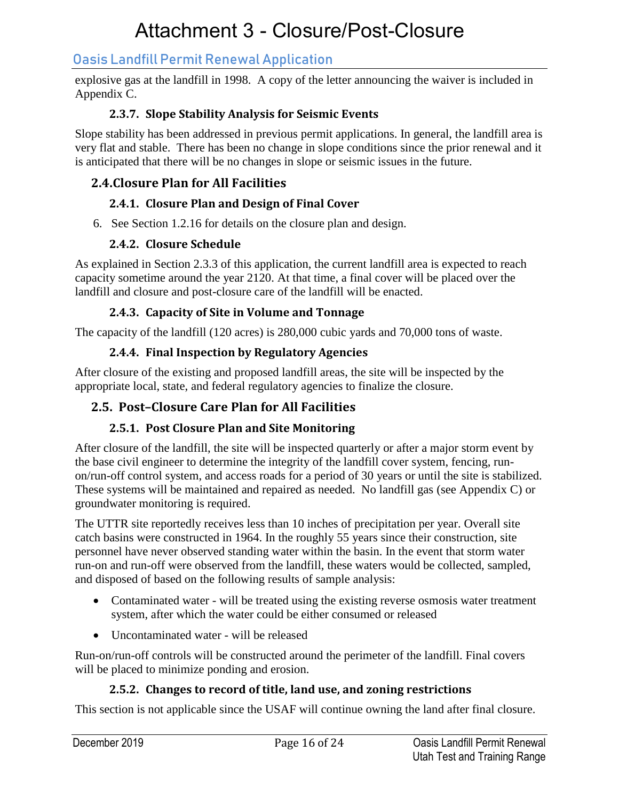# Attachment 3 - Closure/Post-Closure

## Oasis Landfill Permit Renewal Application

explosive gas at the landfill in 1998. A copy of the letter announcing the waiver is included in Appendix C.

#### **2.3.7. Slope Stability Analysis for Seismic Events**

Slope stability has been addressed in previous permit applications. In general, the landfill area is very flat and stable. There has been no change in slope conditions since the prior renewal and it is anticipated that there will be no changes in slope or seismic issues in the future.

## **2.4.Closure Plan for All Facilities**

## **2.4.1. Closure Plan and Design of Final Cover**

6. See Section 1.2.16 for details on the closure plan and design.

## **2.4.2. Closure Schedule**

As explained in Section 2.3.3 of this application, the current landfill area is expected to reach capacity sometime around the year 2120. At that time, a final cover will be placed over the landfill and closure and post-closure care of the landfill will be enacted.

## **2.4.3. Capacity of Site in Volume and Tonnage**

The capacity of the landfill (120 acres) is 280,000 cubic yards and 70,000 tons of waste.

## **2.4.4. Final Inspection by Regulatory Agencies**

After closure of the existing and proposed landfill areas, the site will be inspected by the appropriate local, state, and federal regulatory agencies to finalize the closure.

## **2.5. Post–Closure Care Plan for All Facilities**

#### **2.5.1. Post Closure Plan and Site Monitoring**

After closure of the landfill, the site will be inspected quarterly or after a major storm event by the base civil engineer to determine the integrity of the landfill cover system, fencing, runon/run-off control system, and access roads for a period of 30 years or until the site is stabilized. These systems will be maintained and repaired as needed. No landfill gas (see Appendix C) or groundwater monitoring is required.

The UTTR site reportedly receives less than 10 inches of precipitation per year. Overall site catch basins were constructed in 1964. In the roughly 55 years since their construction, site personnel have never observed standing water within the basin. In the event that storm water run-on and run-off were observed from the landfill, these waters would be collected, sampled, and disposed of based on the following results of sample analysis:

- Contaminated water will be treated using the existing reverse osmosis water treatment system, after which the water could be either consumed or released
- Uncontaminated water will be released

Run-on/run-off controls will be constructed around the perimeter of the landfill. Final covers will be placed to minimize ponding and erosion.

#### **2.5.2. Changes to record of title, land use, and zoning restrictions**

This section is not applicable since the USAF will continue owning the land after final closure.